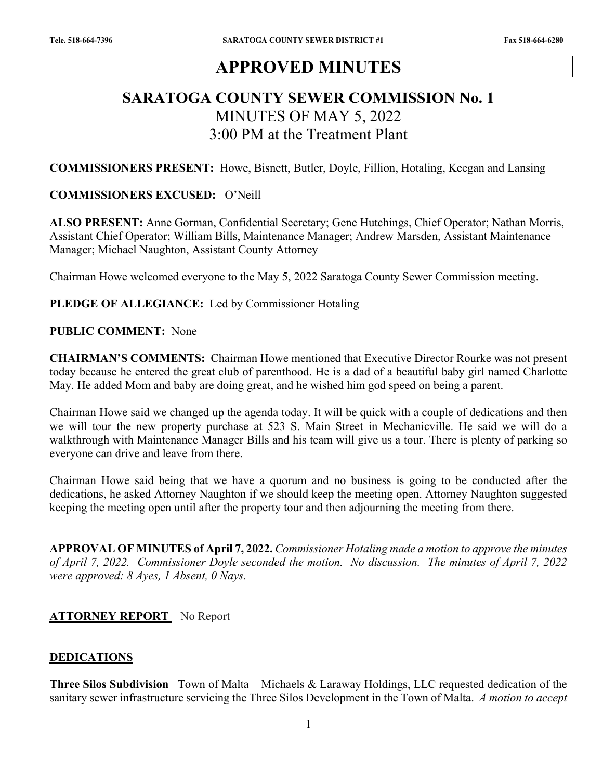# **APPROVED MINUTES**

# **SARATOGA COUNTY SEWER COMMISSION No. 1**  MINUTES OF MAY 5, 2022 3:00 PM at the Treatment Plant

**COMMISSIONERS PRESENT:** Howe, Bisnett, Butler, Doyle, Fillion, Hotaling, Keegan and Lansing

## **COMMISSIONERS EXCUSED:** O'Neill

**ALSO PRESENT:** Anne Gorman, Confidential Secretary; Gene Hutchings, Chief Operator; Nathan Morris, Assistant Chief Operator; William Bills, Maintenance Manager; Andrew Marsden, Assistant Maintenance Manager; Michael Naughton, Assistant County Attorney

Chairman Howe welcomed everyone to the May 5, 2022 Saratoga County Sewer Commission meeting.

#### **PLEDGE OF ALLEGIANCE:** Led by Commissioner Hotaling

#### **PUBLIC COMMENT:** None

**CHAIRMAN'S COMMENTS:** Chairman Howe mentioned that Executive Director Rourke was not present today because he entered the great club of parenthood. He is a dad of a beautiful baby girl named Charlotte May. He added Mom and baby are doing great, and he wished him god speed on being a parent.

Chairman Howe said we changed up the agenda today. It will be quick with a couple of dedications and then we will tour the new property purchase at 523 S. Main Street in Mechanicville. He said we will do a walkthrough with Maintenance Manager Bills and his team will give us a tour. There is plenty of parking so everyone can drive and leave from there.

Chairman Howe said being that we have a quorum and no business is going to be conducted after the dedications, he asked Attorney Naughton if we should keep the meeting open. Attorney Naughton suggested keeping the meeting open until after the property tour and then adjourning the meeting from there.

**APPROVAL OF MINUTES of April 7, 2022.** *Commissioner Hotaling made a motion to approve the minutes of April 7, 2022. Commissioner Doyle seconded the motion. No discussion. The minutes of April 7, 2022 were approved: 8 Ayes, 1 Absent, 0 Nays.* 

## **ATTORNEY REPORT** – No Report

## **DEDICATIONS**

**Three Silos Subdivision** –Town of Malta – Michaels & Laraway Holdings, LLC requested dedication of the sanitary sewer infrastructure servicing the Three Silos Development in the Town of Malta. *A motion to accept*